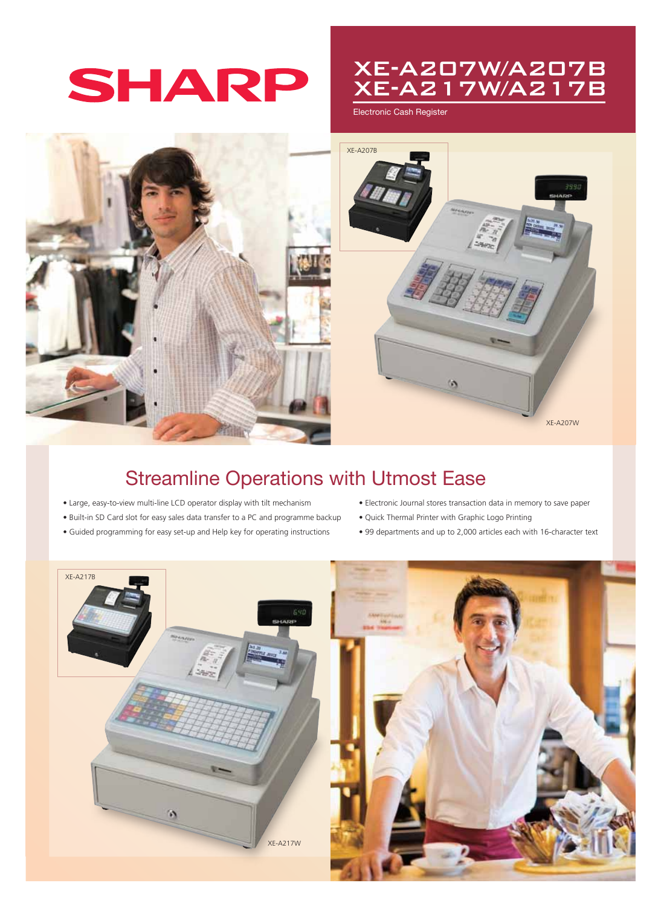# SHARP

### XE-A207W/A207B XE-A217W/A217B

Electronic Cash Register



## Streamline Operations with Utmost Ease

- Large, easy-to-view multi-line LCD operator display with tilt mechanism
- Built-in SD Card slot for easy sales data transfer to a PC and programme backup
- Guided programming for easy set-up and Help key for operating instructions
- Electronic Journal stores transaction data in memory to save paper
- Quick Thermal Printer with Graphic Logo Printing
- 99 departments and up to 2,000 articles each with 16-character text